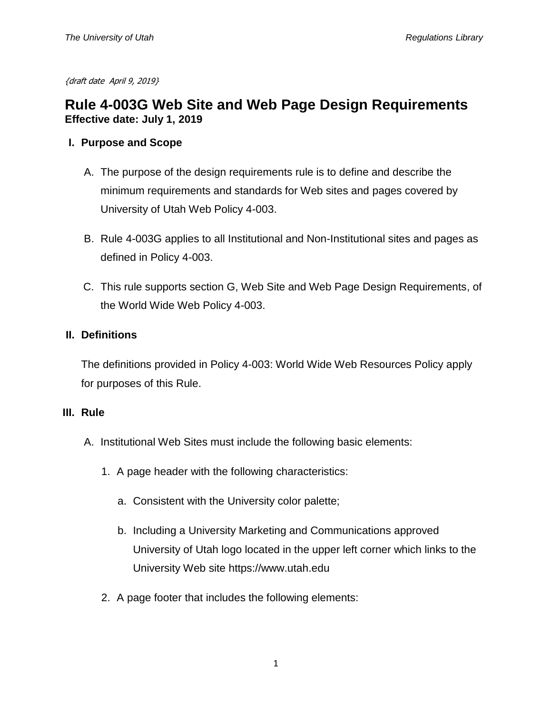{draft date April 9, 2019}

# **Rule 4-003G Web Site and Web Page Design Requirements Effective date: July 1, 2019**

### **I. Purpose and Scope**

- A. The purpose of the design requirements rule is to define and describe the minimum requirements and standards for Web sites and pages covered by University of Utah Web Policy 4-003.
- B. Rule 4-003G applies to all Institutional and Non-Institutional sites and pages as defined in Policy 4-003.
- C. This rule supports section G, Web Site and Web Page Design Requirements, of the World Wide Web Policy 4-003.

## **II. Definitions**

The definitions provided in Policy 4-003: World Wide Web Resources Policy apply for purposes of this Rule.

#### **III. Rule**

- A. Institutional Web Sites must include the following basic elements:
	- 1. A page header with the following characteristics:
		- a. Consistent with the University color palette;
		- b. Including a University Marketing and Communications approved University of Utah logo located in the upper left corner which links to the University Web site https://www.utah.edu
	- 2. A page footer that includes the following elements: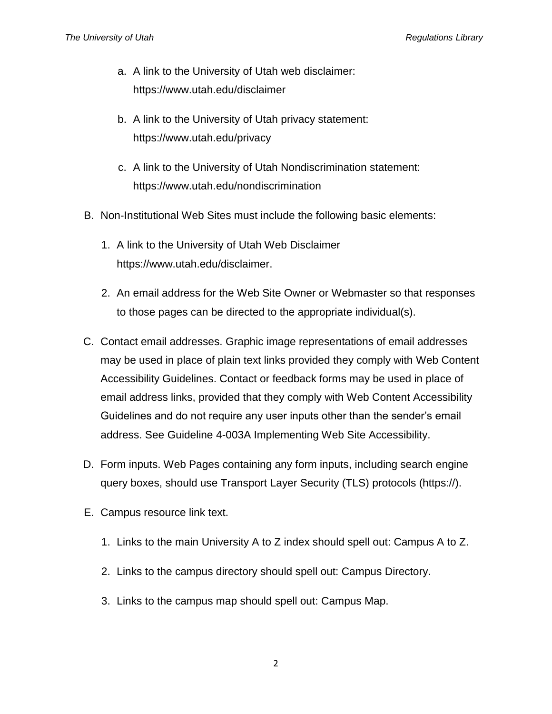- a. A link to the University of Utah web disclaimer: [https://www.utah.edu/disclaimer](http://utah.edu/disclaimer)
- b. A link to the University of Utah privacy statement: [https://www.utah.edu/privacy](http://utah.edu/privacy)
- c. A link to the University of Utah Nondiscrimination statement: https://www.utah.edu/nondiscrimination
- B. Non-Institutional Web Sites must include the following basic elements:
	- 1. A link to the University of Utah Web Disclaimer [https://www.utah.edu/disclaimer.](http://utah.edu/disclaimer)
	- 2. An email address for the Web Site Owner or Webmaster so that responses to those pages can be directed to the appropriate individual(s).
- C. Contact email addresses. Graphic image representations of email addresses may be used in place of plain text links provided they comply with Web Content Accessibility Guidelines. Contact or feedback forms may be used in place of email address links, provided that they comply with Web Content Accessibility Guidelines and do not require any user inputs other than the sender's email address. See Guideline 4-003A Implementing Web Site Accessibility.
- D. Form inputs. Web Pages containing any form inputs, including search engine query boxes, should use Transport Layer Security (TLS) protocols (https://).
- E. Campus resource link text.
	- 1. Links to the main University A to Z index should spell out: Campus A to Z.
	- 2. Links to the campus directory should spell out: Campus Directory.
	- 3. Links to the campus map should spell out: Campus Map.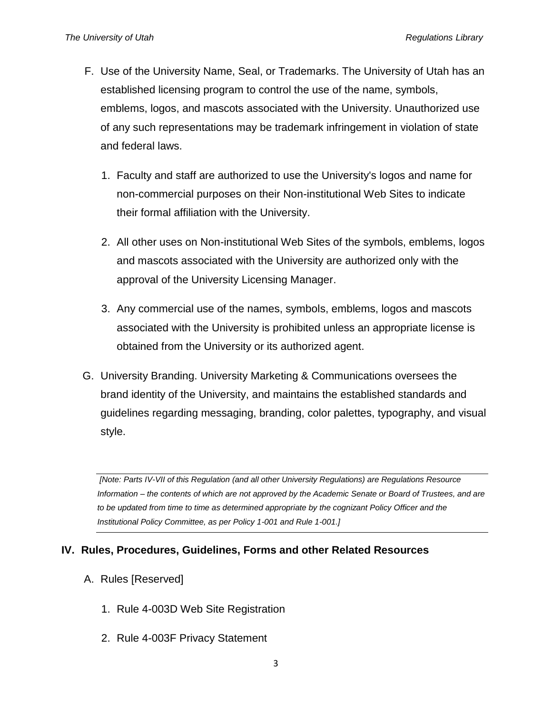- F. Use of the University Name, Seal, or Trademarks. The University of Utah has an established licensing program to control the use of the name, symbols, emblems, logos, and mascots associated with the University. Unauthorized use of any such representations may be trademark infringement in violation of state and federal laws.
	- 1. Faculty and staff are authorized to use the University's logos and name for non-commercial purposes on their Non-institutional Web Sites to indicate their formal affiliation with the University.
	- 2. All other uses on Non-institutional Web Sites of the symbols, emblems, logos and mascots associated with the University are authorized only with the approval of the University Licensing Manager.
	- 3. Any commercial use of the names, symbols, emblems, logos and mascots associated with the University is prohibited unless an appropriate license is obtained from the University or its authorized agent.
- G. University Branding. University Marketing & Communications oversees the brand identity of the University, and maintains the established standards and guidelines regarding messaging, branding, color palettes, typography, and visual style.

*[Note: Parts IV-VII of this Regulation (and all other University Regulations) are Regulations Resource Information – the contents of which are not approved by the Academic Senate or Board of Trustees, and are to be updated from time to time as determined appropriate by the cognizant Policy Officer and the Institutional Policy Committee, as per Policy 1-001 and Rule 1-001.]*

# **IV. Rules, Procedures, Guidelines, Forms and other Related Resources**

- A. Rules [Reserved]
	- 1. Rule 4-003D Web Site Registration
	- 2. Rule 4-003F Privacy Statement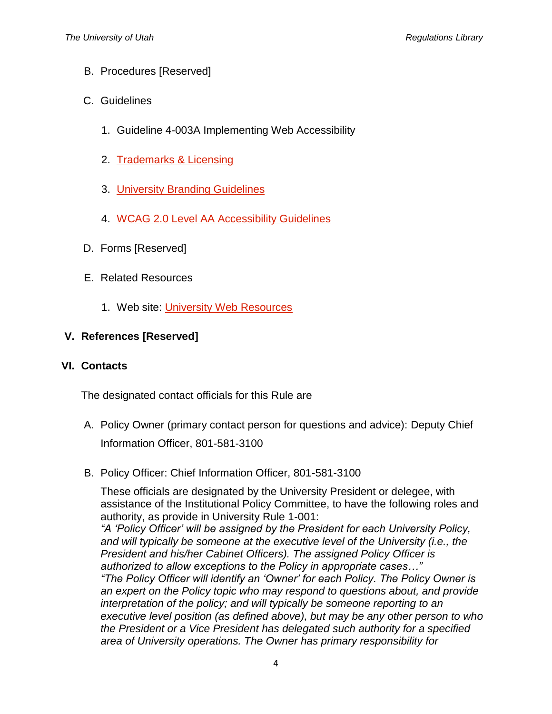- B. Procedures [Reserved]
- C. Guidelines
	- 1. Guideline 4-003A Implementing Web Accessibility
	- 2. [Trademarks & Licensing](https://trademarks.utah.edu/licensing-program/overview.php)
	- 3. [University Branding Guidelines](https://umc.utah.edu/resources/branding-guidelines/web-communications/)
	- 4. [WCAG 2.0 Level AA Accessibility Guidelines](https://www.w3.org/WAI/intro/wcag)
- D. Forms [Reserved]
- E. Related Resources
	- 1. Web site: [University Web Resources](http://uwebresources.utah.edu/)

## **V. References [Reserved]**

#### **VI. Contacts**

The designated contact officials for this Rule are

- A. Policy Owner (primary contact person for questions and advice): Deputy Chief Information Officer, 801-581-3100
- B. Policy Officer: Chief Information Officer, 801-581-3100

These officials are designated by the University President or delegee, with assistance of the Institutional Policy Committee, to have the following roles and authority, as provide in University Rule 1-001:

*"A 'Policy Officer' will be assigned by the President for each University Policy, and will typically be someone at the executive level of the University (i.e., the President and his/her Cabinet Officers). The assigned Policy Officer is authorized to allow exceptions to the Policy in appropriate cases…" "The Policy Officer will identify an 'Owner' for each Policy. The Policy Owner is an expert on the Policy topic who may respond to questions about, and provide interpretation of the policy; and will typically be someone reporting to an* 

*executive level position (as defined above), but may be any other person to who the President or a Vice President has delegated such authority for a specified area of University operations. The Owner has primary responsibility for*